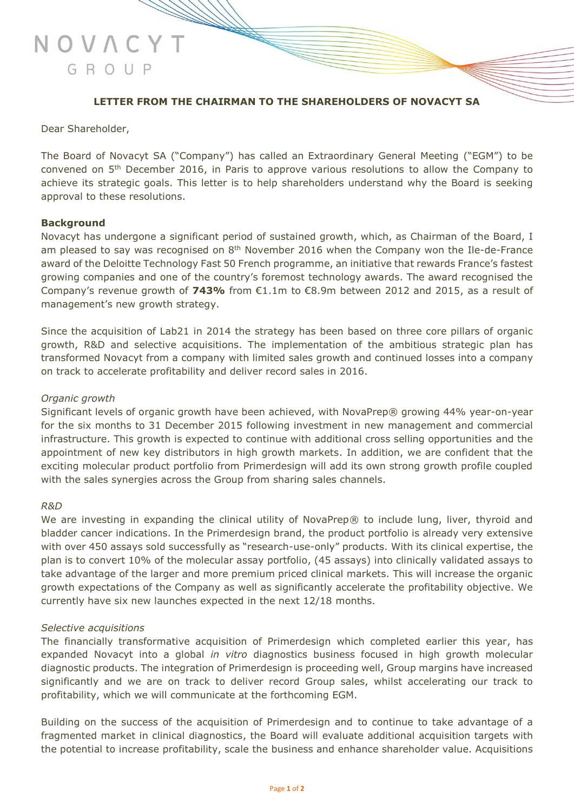

## **LETTER FROM THE CHAIRMAN TO THE SHAREHOLDERS OF NOVACYT SA**

#### Dear Shareholder,

The Board of Novacyt SA ("Company") has called an Extraordinary General Meeting ("EGM") to be convened on 5th December 2016, in Paris to approve various resolutions to allow the Company to achieve its strategic goals. This letter is to help shareholders understand why the Board is seeking approval to these resolutions.

#### **Background**

Novacyt has undergone a significant period of sustained growth, which, as Chairman of the Board, I am pleased to say was recognised on  $8<sup>th</sup>$  November 2016 when the Company won the Ile-de-France award of the Deloitte Technology Fast 50 French programme, an initiative that rewards France's fastest growing companies and one of the country's foremost technology awards. The award recognised the Company's revenue growth of **743%** from €1.1m to €8.9m between 2012 and 2015, as a result of management's new growth strategy.

Since the acquisition of Lab21 in 2014 the strategy has been based on three core pillars of organic growth, R&D and selective acquisitions. The implementation of the ambitious strategic plan has transformed Novacyt from a company with limited sales growth and continued losses into a company on track to accelerate profitability and deliver record sales in 2016.

#### *Organic growth*

Significant levels of organic growth have been achieved, with NovaPrep® growing 44% year-on-year for the six months to 31 December 2015 following investment in new management and commercial infrastructure. This growth is expected to continue with additional cross selling opportunities and the appointment of new key distributors in high growth markets. In addition, we are confident that the exciting molecular product portfolio from Primerdesign will add its own strong growth profile coupled with the sales synergies across the Group from sharing sales channels.

#### *R&D*

We are investing in expanding the clinical utility of NovaPrep® to include lung, liver, thyroid and bladder cancer indications. In the Primerdesign brand, the product portfolio is already very extensive with over 450 assays sold successfully as "research-use-only" products. With its clinical expertise, the plan is to convert 10% of the molecular assay portfolio, (45 assays) into clinically validated assays to take advantage of the larger and more premium priced clinical markets. This will increase the organic growth expectations of the Company as well as significantly accelerate the profitability objective. We currently have six new launches expected in the next 12/18 months.

#### *Selective acquisitions*

The financially transformative acquisition of Primerdesign which completed earlier this year, has expanded Novacyt into a global *in vitro* diagnostics business focused in high growth molecular diagnostic products. The integration of Primerdesign is proceeding well, Group margins have increased significantly and we are on track to deliver record Group sales, whilst accelerating our track to profitability, which we will communicate at the forthcoming EGM.

Building on the success of the acquisition of Primerdesign and to continue to take advantage of a fragmented market in clinical diagnostics, the Board will evaluate additional acquisition targets with the potential to increase profitability, scale the business and enhance shareholder value. Acquisitions